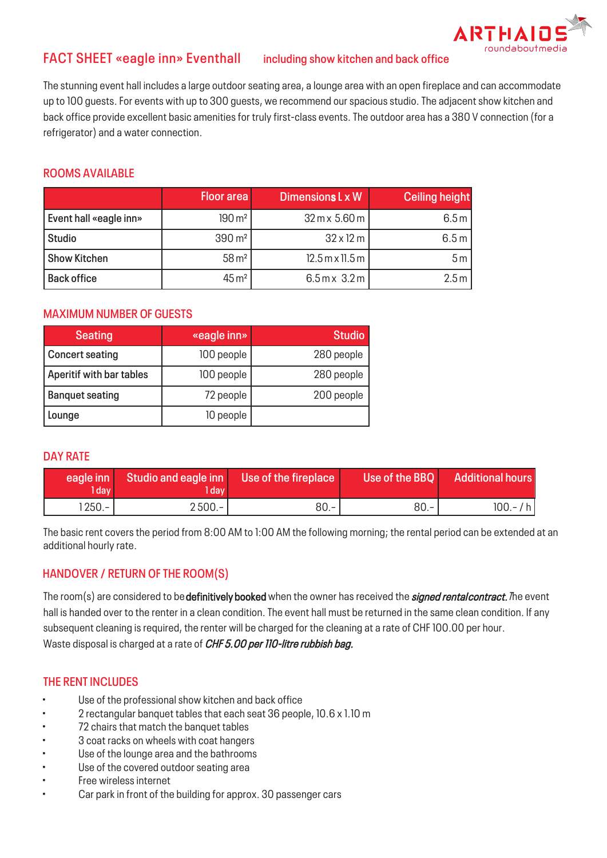

# **FACT SHEET «eagle inn» Eventhall including show kitchen and back office**

The stunning event hall includes a large outdoor seating area, a lounge area with an open fireplace and can accommodate up to 100 guests. For events with up to 300 guests, we recommend our spacious studio. The adjacent show kitchen and back office provide excellent basic amenities for truly first-class events. The outdoor area has a 380 V connection (for a refrigerator) and a water connection.

### **ROOMS AVAILABLE**

|                        | <b>Floor area</b>    | Dimensions L x W                           | <b>Ceiling height</b> |
|------------------------|----------------------|--------------------------------------------|-----------------------|
| Event hall «eagle inn» | $190 \,\mathrm{m}^2$ | $32 \text{ m} \times 5.60 \text{ m}$       | 6.5 m                 |
| <b>Studio</b>          | $390 \,\mathrm{m}^2$ | $32 \times 12 \text{ m}$                   | 6.5 m                 |
| <b>Show Kitchen</b>    | $58 \,\mathrm{m}^2$  | $12.5$ m x 11.5 m                          | 5m                    |
| <b>Back office</b>     | $45 \,\mathrm{m}^2$  | $6.5 \,\mathrm{m} \times 3.2 \,\mathrm{m}$ | 2.5 m                 |

## **MAXIMUM NUMBER OF GUESTS**

| <b>Seating</b>           | «eagle inn» | <b>Studio</b> |
|--------------------------|-------------|---------------|
| <b>Concert seating</b>   | 100 people  | 280 people    |
| Aperitif with bar tables | 100 people  | 280 people    |
| <b>Banquet seating</b>   | 72 people   | 200 people    |
| Lounge                   | 10 people   |               |

### **DAY RATE**

| l dav'   | eagle inn Studio and eagle inn Use of the fireplace<br>l dav |      | Use of the BBQ | <b>Additional hours</b> |
|----------|--------------------------------------------------------------|------|----------------|-------------------------|
| $1250 -$ | $2500 -$                                                     | 80.- | $80.-$         | $100 - / h$             |

The basic rent covers the period from 8:00 AM to 1:00 AM the following morning; the rental period can be extended at an additional hourly rate.

# **HANDOVER / RETURN OF THE ROOM(S)**

The room(s) are considered to be definitively booked when the owner has received the *signed rental contract. T*he event hall is handed over to the renter in a clean condition. The event hall must be returned in the same clean condition. If any subsequent cleaning is required, the renter will be charged for the cleaning at a rate of CHF 100.00 per hour. Waste disposal is charged at a rate of CHF 5.00 per 110-litre rubbish bag.

# **THE RENT INCLUDES**

- Use of the professional show kitchen and back office
- 2 rectangular banquet tables that each seat 36 people, 10.6 x 1.10 m
- 72 chairs that match the banquet tables
- 3 coat racks on wheels with coat hangers
- Use of the lounge area and the bathrooms
- Use of the covered outdoor seating area
- Free wireless internet
- Car park in front of the building for approx. 30 passenger cars